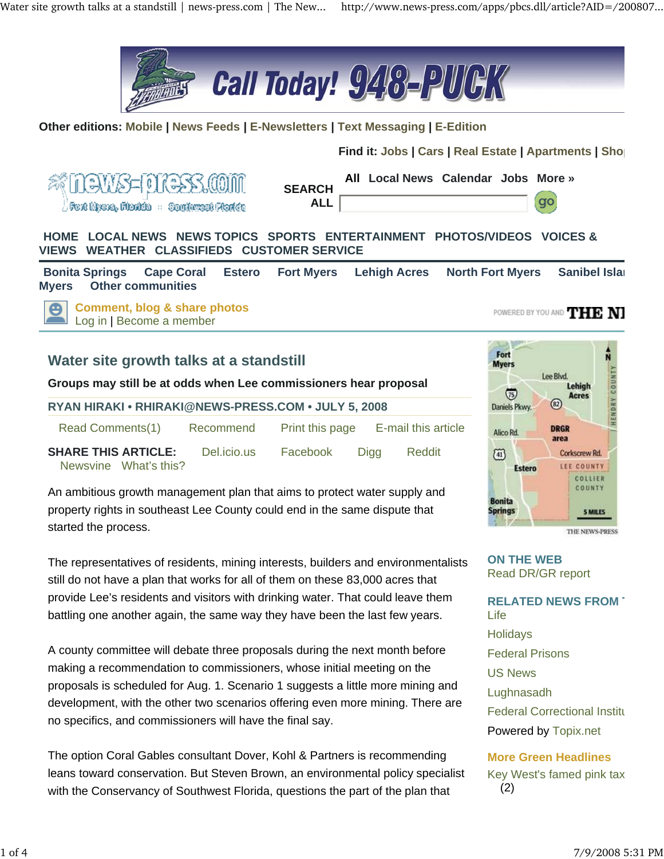

**Other editions: Mobile | News Feeds | E-Newsletters | Text Messaging | E-Edition**

**Find it: Jobs | Cars | Real Estate | Apartments | Sho** 

Ġ 弐 Fort Noors, Florida — Saudiansst Plankia **SEARCH All Local News Calendar Jobs More »**

**ALL**

go

**HOME LOCAL NEWS NEWS TOPICS SPORTS ENTERTAINMENT PHOTOS/VIDEOS VOICES & VIEWS WEATHER CLASSIFIEDS CUSTOMER SERVICE**

**Bonita Springs Cape Coral Estero Fort Myers Lehigh Acres North Fort Myers Sanibel Islan Myers Other communities**

**Comment, blog & share photos** Log in | Become a member

e

## **Water site growth talks at a standstill**

**Groups may still be at odds when Lee commissioners hear proposal**

## **RYAN HIRAKI • RHIRAKI@NEWS-PRESS.COM • JULY 5, 2008**

Read Comments(1) Recommend Print this page E-mail this article **SHARE THIS ARTICLE:** Del.icio.us Facebook Digg Reddit Newsvine What's this?

An ambitious growth management plan that aims to protect water supply and property rights in southeast Lee County could end in the same dispute that started the process.

The representatives of residents, mining interests, builders and environmentalists still do not have a plan that works for all of them on these 83,000 acres that provide Lee's residents and visitors with drinking water. That could leave them battling one another again, the same way they have been the last few years.

A county committee will debate three proposals during the next month before making a recommendation to commissioners, whose initial meeting on the proposals is scheduled for Aug. 1. Scenario 1 suggests a little more mining and development, with the other two scenarios offering even more mining. There are no specifics, and commissioners will have the final say.

The option Coral Gables consultant Dover, Kohl & Partners is recommending leans toward conservation. But Steven Brown, an environmental policy specialist with the Conservancy of Southwest Florida, questions the part of the plan that



POWERED BY YOU AND THE N

**ON THE WEB** Read DR/GR report

**RELATED NEWS FROM T** Life **Holidays** Federal Prisons US News Lughnasadh Federal Correctional Institu Powered by Topix.net

**More Green Headlines** Key West's famed pink tax (2)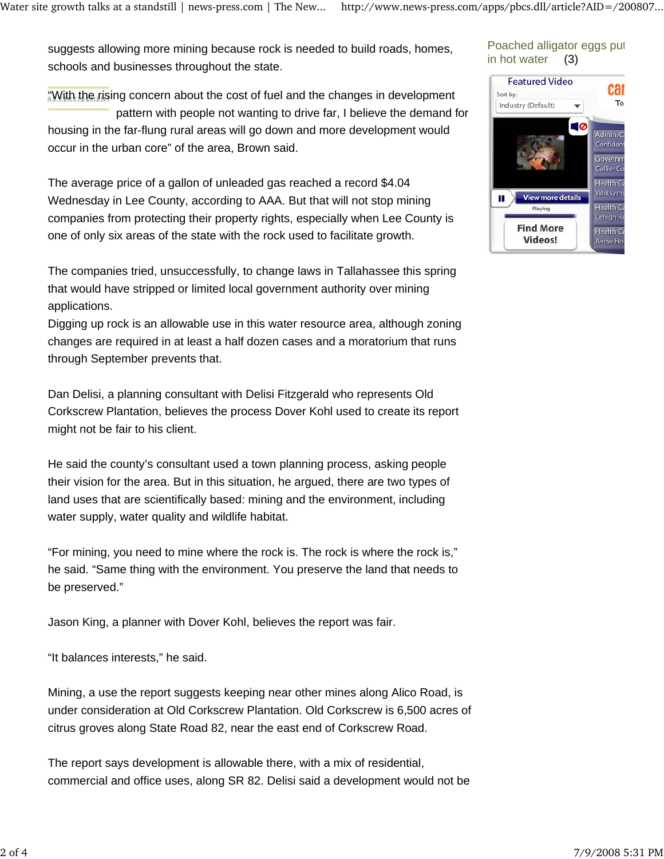suggests allowing more mining because rock is needed to build roads, homes, schools and businesses throughout the state.

"With the rising concern about the cost of fuel and the changes in development pattern with people not wanting to drive far, I believe the demand for housing in the far-flung rural areas will go down and more development would occur in the urban core" of the area, Brown said.

The average price of a gallon of unleaded gas reached a record \$4.04 Wednesday in Lee County, according to AAA. But that will not stop mining companies from protecting their property rights, especially when Lee County is one of only six areas of the state with the rock used to facilitate growth.

The companies tried, unsuccessfully, to change laws in Tallahassee this spring that would have stripped or limited local government authority over mining applications.

Digging up rock is an allowable use in this water resource area, although zoning changes are required in at least a half dozen cases and a moratorium that runs through September prevents that.

Dan Delisi, a planning consultant with Delisi Fitzgerald who represents Old Corkscrew Plantation, believes the process Dover Kohl used to create its report might not be fair to his client.

He said the county's consultant used a town planning process, asking people their vision for the area. But in this situation, he argued, there are two types of land uses that are scientifically based: mining and the environment, including water supply, water quality and wildlife habitat.

"For mining, you need to mine where the rock is. The rock is where the rock is," he said. "Same thing with the environment. You preserve the land that needs to be preserved."

Jason King, a planner with Dover Kohl, believes the report was fair.

"It balances interests," he said.

Mining, a use the report suggests keeping near other mines along Alico Road, is under consideration at Old Corkscrew Plantation. Old Corkscrew is 6,500 acres of citrus groves along State Road 82, near the east end of Corkscrew Road.

The report says development is allowable there, with a mix of residential, commercial and office uses, along SR 82. Delisi said a development would not be

## Poached alligator eggs put in hot water (3)